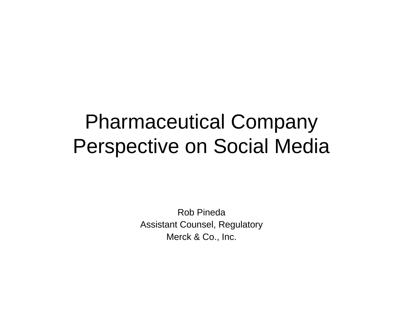#### Pharmaceutical Company Perspective on Social Media

Rob PinedaAssistant Counsel, Regulatory Merck & Co., Inc.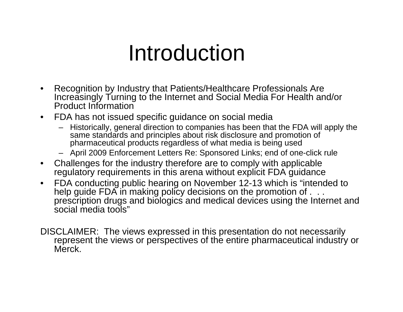### Introduction

- Recognition by Industry that Patients/Healthcare Professionals Are Increasingly Turning to the Internet and Social Media For Health and/or Product Information
- FDA has not issued specific guidance on social media
	- Historically, general direction to companies has been that the FDA will apply the same standards and principles about risk disclosure and promotion of pharmaceutical products regardless of what media is being used
	- April 2009 Enforcement Letters Re: Sponsored Links; end of one-click rule
- Challenges for the industry therefore are to comply with applicable regulatory requirements in this arena without explicit FDA guidance
- FDA conducting public hearing on November 12-13 which is "intended to help guide FDA in making policy decisions on the promotion of . . . prescription drugs and biologics and medical devices using the Internet and social media tools"
- DISCLAIMER: The views expressed in this presentation do not necessarily represent the views or perspectives of the entire pharmaceutical industry or Merck.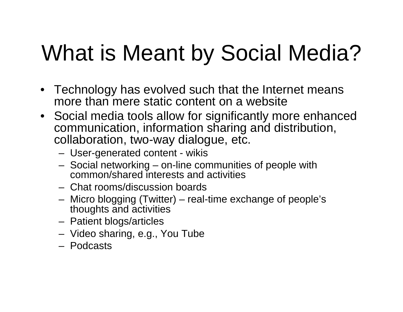# What is Meant by Social Media?

- Technology has evolved such that the Internet means more than mere static content on a website
- Social media tools allow for significantly more enhanced communication, information sharing and distribution, collaboration, two-way dialogue, etc.
	- User-generated content wikis
	- Social networking on-line communities of people with common/shared interests and activities
	- Chat rooms/discussion boards
	- Micro blogging (Twitter) real-time exchange of people's thoughts and activities
	- Patient blogs/articles
	- Video sharing, e.g., You Tube
	- Podcasts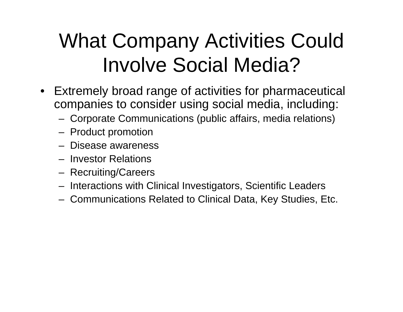### What Company Activities Could Involve Social Media?

- Extremely broad range of activities for pharmaceutical companies to consider using social media, including:
	- Corporate Communications (public affairs, media relations)
	- Product promotion
	- Disease awareness
	- Investor Relations
	- Recruiting/Careers
	- Interactions with Clinical Investigators, Scientific Leaders
	- Communications Related to Clinical Data, Key Studies, Etc.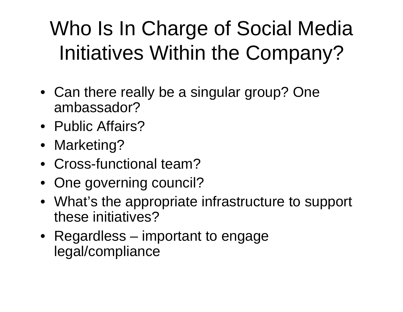### Who Is In Charge of Social Media Initiatives Within the Company?

- Can there really be a singular group? One ambassador?
- Public Affairs?
- Marketing?
- Cross-functional team?
- One governing council?
- What's the appropriate infrastructure to support these initiatives?
- Regardless important to engage legal/compliance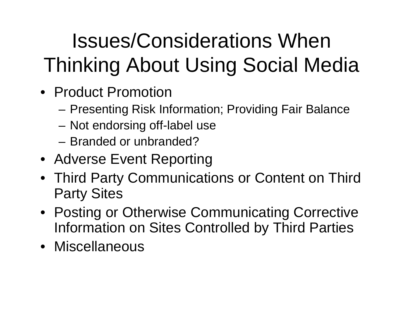## Issues/Considerations When Thinking About Using Social Media

- Product Promotion
	- Presenting Risk Information; Providing Fair Balance
	- Not endorsing off-label use
	- Branded or unbranded?
- Adverse Event Reporting
- Third Party Communications or Content on Third Party Sites
- Posting or Otherwise Communicating Corrective Information on Sites Controlled by Third Parties
- Miscellaneous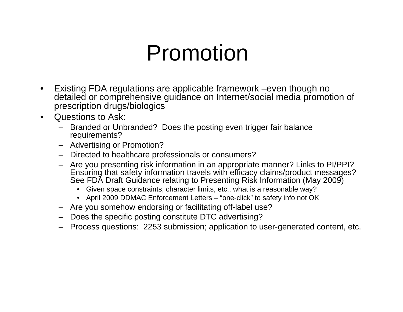### Promotion

- Existing FDA regulations are applicable framework –even though no detailed or comprehensive guidance on Internet/social media promotion of prescription drugs/biologics
- Questions to Ask:
	- Branded or Unbranded? Does the posting even trigger fair balance requirements?
	- Advertising or Promotion?
	- Directed to healthcare professionals or consumers?
	- Are you presenting risk information in an appropriate manner? Links to PI/PPI? Ensuring that safety information travels with efficacy claims/product messages? See FDA Draft Guidance relating to Presenting Risk Information (May 2009)
		- Given space constraints, character limits, etc., what is a reasonable way?
		- April 2009 DDMAC Enforcement Letters "one-click" to safety info not OK
	- Are you somehow endorsing or facilitating off-label use?
	- Does the specific posting constitute DTC advertising?
	- Process questions: 2253 submission; application to user-generated content, etc.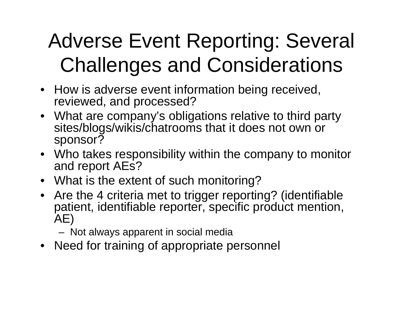### Adverse Event Reporting: Several Challenges and Considerations

- How is adverse event information being received, reviewed, and processed?
- What are company's obligations relative to third party sites/blogs/wikis/chatrooms that it does not own or sponsor?
- Who takes responsibility within the company to monitor and report AEs?
- What is the extent of such monitoring?
- Are the 4 criteria met to trigger reporting? (identifiable patient, identifiable reporter, specific product mention, AE)

– Not always apparent in social media

• Need for training of appropriate personnel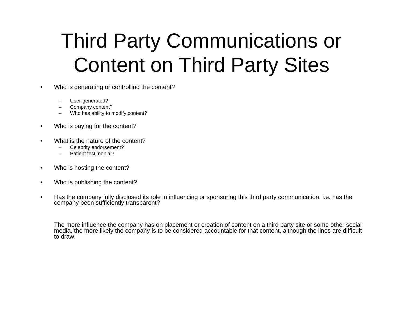### Third Party Communications or Content on Third Party Sites

- Who is generating or controlling the content?
	- User-generated?
	- Company content?
	- Who has ability to modify content?
- Who is paying for the content?
- What is the nature of the content?
	- Celebrity endorsement?
	- Patient testimonial?
- Who is hosting the content?
- Who is publishing the content?
- Has the company fully disclosed its role in influencing or sponsoring this third party communication, i.e. has the company been sufficiently transparent?

The more influence the company has on placement or creation of content on a third party site or some other social media, the more likely the company is to be considered accountable for that content, although the lines are difficult to draw.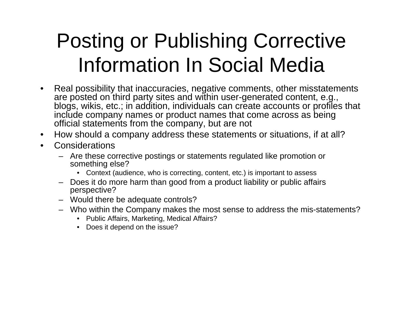### Posting or Publishing Corrective Information In Social Media

- Real possibility that inaccuracies, negative comments, other misstatements are posted on third party sites and within user-generated content, e.g., blogs, wikis, etc.; in addition, individuals can create accounts or profiles that include company names or product names that come across as being official statements from the company, but are not
- How should a company address these statements or situations, if at all?
- **Considerations** 
	- Are these corrective postings or statements regulated like promotion or something else?
		- Context (audience, who is correcting, content, etc.) is important to assess
	- Does it do more harm than good from a product liability or public affairs perspective?
	- Would there be adequate controls?
	- Who within the Company makes the most sense to address the mis-statements?
		- Public Affairs, Marketing, Medical Affairs?
		- Does it depend on the issue?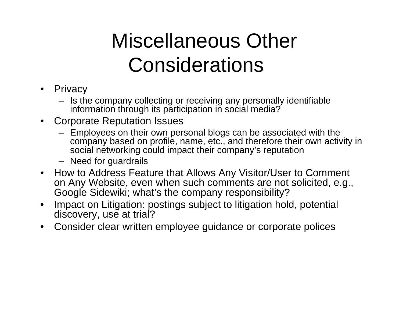### Miscellaneous Other **Considerations**

- Privacy
	- Is the company collecting or receiving any personally identifiable information through its participation in social media?
- Corporate Reputation Issues
	- Employees on their own personal blogs can be associated with the company based on profile, name, etc., and therefore their own activity in social networking could impact their company's reputation
	- Need for guardrails
- How to Address Feature that Allows Any Visitor/User to Comment on Any Website, even when such comments are not solicited, e.g., Google Sidewiki; what's the company responsibility?
- Impact on Litigation: postings subject to litigation hold, potential discovery, use at trial?
- Consider clear written employee guidance or corporate polices